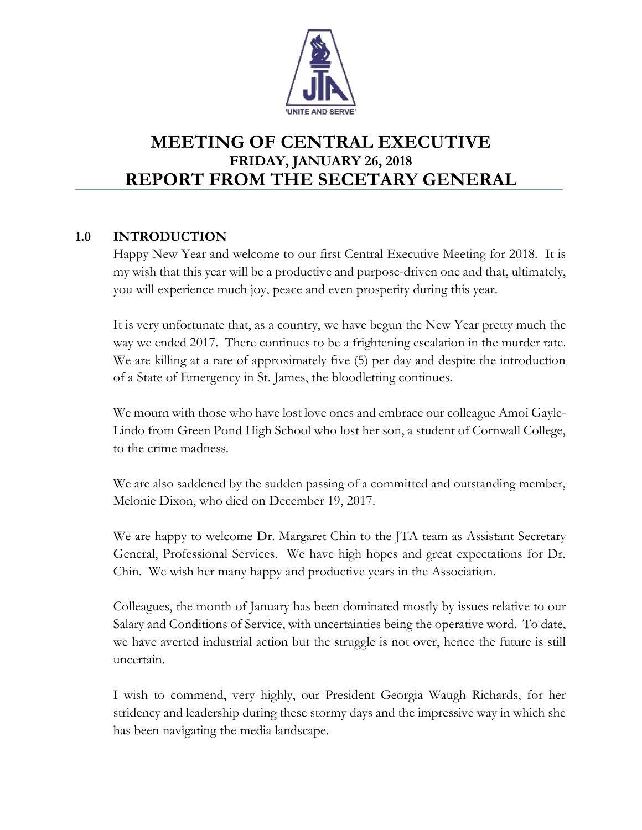

# **MEETING OF CENTRAL EXECUTIVE FRIDAY, JANUARY 26, 2018 REPORT FROM THE SECETARY GENERAL**

# **1.0 INTRODUCTION**

Happy New Year and welcome to our first Central Executive Meeting for 2018. It is my wish that this year will be a productive and purpose-driven one and that, ultimately, you will experience much joy, peace and even prosperity during this year.

It is very unfortunate that, as a country, we have begun the New Year pretty much the way we ended 2017. There continues to be a frightening escalation in the murder rate. We are killing at a rate of approximately five (5) per day and despite the introduction of a State of Emergency in St. James, the bloodletting continues.

We mourn with those who have lost love ones and embrace our colleague Amoi Gayle-Lindo from Green Pond High School who lost her son, a student of Cornwall College, to the crime madness.

We are also saddened by the sudden passing of a committed and outstanding member, Melonie Dixon, who died on December 19, 2017.

We are happy to welcome Dr. Margaret Chin to the JTA team as Assistant Secretary General, Professional Services. We have high hopes and great expectations for Dr. Chin. We wish her many happy and productive years in the Association.

Colleagues, the month of January has been dominated mostly by issues relative to our Salary and Conditions of Service, with uncertainties being the operative word. To date, we have averted industrial action but the struggle is not over, hence the future is still uncertain.

I wish to commend, very highly, our President Georgia Waugh Richards, for her stridency and leadership during these stormy days and the impressive way in which she has been navigating the media landscape.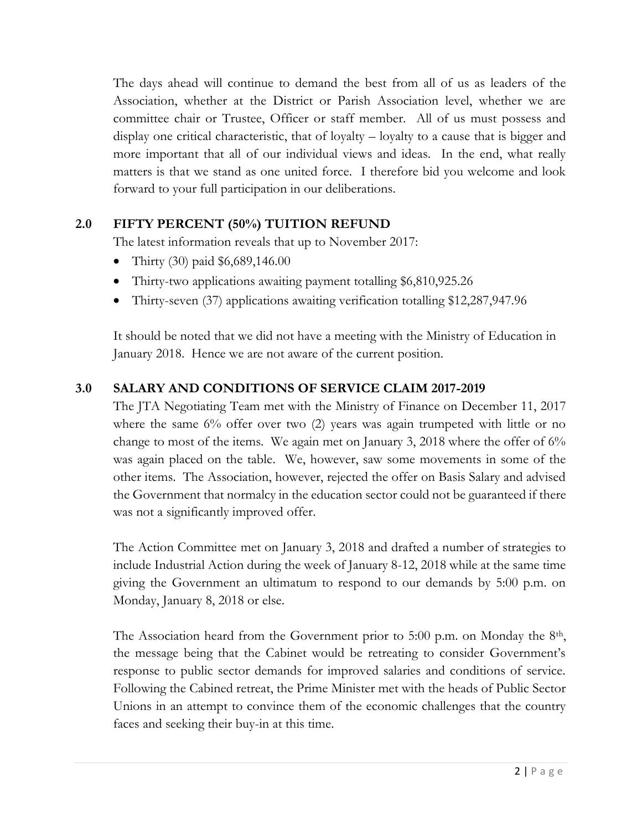The days ahead will continue to demand the best from all of us as leaders of the Association, whether at the District or Parish Association level, whether we are committee chair or Trustee, Officer or staff member. All of us must possess and display one critical characteristic, that of loyalty – loyalty to a cause that is bigger and more important that all of our individual views and ideas. In the end, what really matters is that we stand as one united force. I therefore bid you welcome and look forward to your full participation in our deliberations.

# **2.0 FIFTY PERCENT (50%) TUITION REFUND**

The latest information reveals that up to November 2017:

- Thirty (30) paid \$6,689,146.00
- Thirty-two applications awaiting payment totalling \$6,810,925.26
- Thirty-seven (37) applications awaiting verification totalling \$12,287,947.96

It should be noted that we did not have a meeting with the Ministry of Education in January 2018. Hence we are not aware of the current position.

# **3.0 SALARY AND CONDITIONS OF SERVICE CLAIM 2017-2019**

The JTA Negotiating Team met with the Ministry of Finance on December 11, 2017 where the same 6% offer over two (2) years was again trumpeted with little or no change to most of the items. We again met on January 3, 2018 where the offer of 6% was again placed on the table. We, however, saw some movements in some of the other items. The Association, however, rejected the offer on Basis Salary and advised the Government that normalcy in the education sector could not be guaranteed if there was not a significantly improved offer.

The Action Committee met on January 3, 2018 and drafted a number of strategies to include Industrial Action during the week of January 8-12, 2018 while at the same time giving the Government an ultimatum to respond to our demands by 5:00 p.m. on Monday, January 8, 2018 or else.

The Association heard from the Government prior to 5:00 p.m. on Monday the  $8<sup>th</sup>$ , the message being that the Cabinet would be retreating to consider Government's response to public sector demands for improved salaries and conditions of service. Following the Cabined retreat, the Prime Minister met with the heads of Public Sector Unions in an attempt to convince them of the economic challenges that the country faces and seeking their buy-in at this time.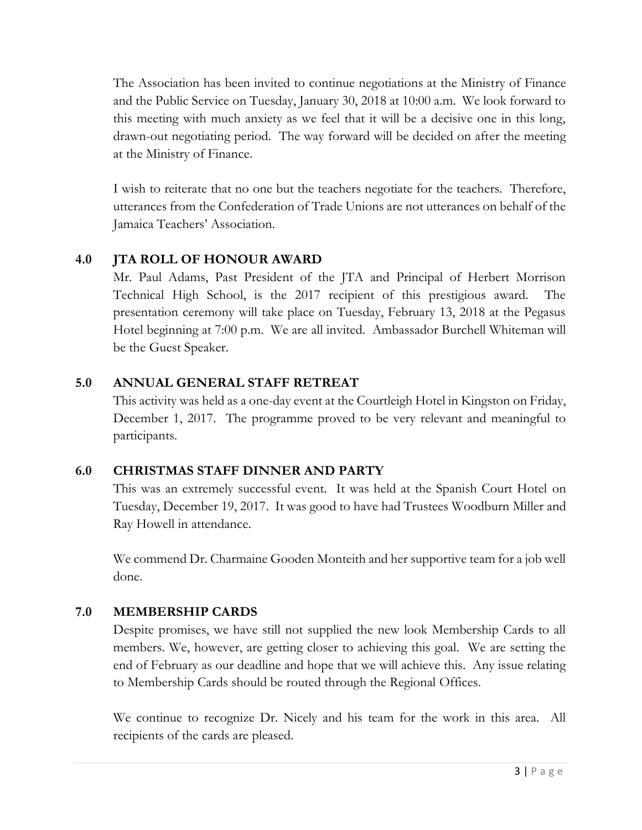The Association has been invited to continue negotiations at the Ministry of Finance and the Public Service on Tuesday, January 30, 2018 at 10:00 a.m. We look forward to this meeting with much anxiety as we feel that it will be a decisive one in this long, drawn-out negotiating period. The way forward will be decided on after the meeting at the Ministry of Finance.

I wish to reiterate that no one but the teachers negotiate for the teachers. Therefore, utterances from the Confederation of Trade Unions are not utterances on behalf of the Jamaica Teachers' Association.

# **4.0 JTA ROLL OF HONOUR AWARD**

Mr. Paul Adams, Past President of the JTA and Principal of Herbert Morrison Technical High School, is the 2017 recipient of this prestigious award. The presentation ceremony will take place on Tuesday, February 13, 2018 at the Pegasus Hotel beginning at 7:00 p.m. We are all invited. Ambassador Burchell Whiteman will be the Guest Speaker.

### **5.0 ANNUAL GENERAL STAFF RETREAT**

This activity was held as a one-day event at the Courtleigh Hotel in Kingston on Friday, December 1, 2017. The programme proved to be very relevant and meaningful to participants.

### **6.0 CHRISTMAS STAFF DINNER AND PARTY**

This was an extremely successful event. It was held at the Spanish Court Hotel on Tuesday, December 19, 2017. It was good to have had Trustees Woodburn Miller and Ray Howell in attendance.

We commend Dr. Charmaine Gooden Monteith and her supportive team for a job well done.

### **7.0 MEMBERSHIP CARDS**

Despite promises, we have still not supplied the new look Membership Cards to all members. We, however, are getting closer to achieving this goal. We are setting the end of February as our deadline and hope that we will achieve this. Any issue relating to Membership Cards should be routed through the Regional Offices.

We continue to recognize Dr. Nicely and his team for the work in this area. All recipients of the cards are pleased.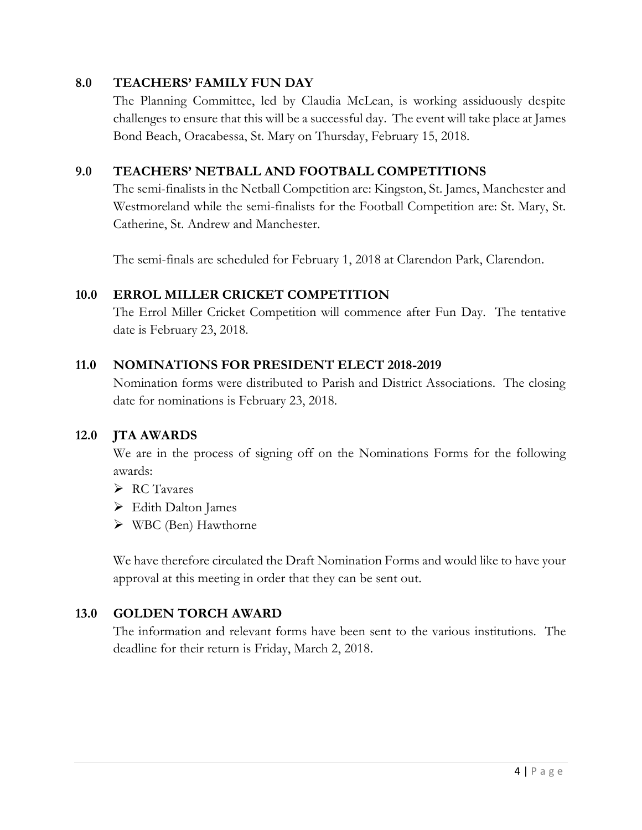### **8.0 TEACHERS' FAMILY FUN DAY**

The Planning Committee, led by Claudia McLean, is working assiduously despite challenges to ensure that this will be a successful day. The event will take place at James Bond Beach, Oracabessa, St. Mary on Thursday, February 15, 2018.

#### **9.0 TEACHERS' NETBALL AND FOOTBALL COMPETITIONS**

The semi-finalists in the Netball Competition are: Kingston, St. James, Manchester and Westmoreland while the semi-finalists for the Football Competition are: St. Mary, St. Catherine, St. Andrew and Manchester.

The semi-finals are scheduled for February 1, 2018 at Clarendon Park, Clarendon.

### **10.0 ERROL MILLER CRICKET COMPETITION**

The Errol Miller Cricket Competition will commence after Fun Day. The tentative date is February 23, 2018.

#### **11.0 NOMINATIONS FOR PRESIDENT ELECT 2018-2019**

Nomination forms were distributed to Parish and District Associations. The closing date for nominations is February 23, 2018.

#### **12.0 JTA AWARDS**

We are in the process of signing off on the Nominations Forms for the following awards:

- $\triangleright$  RC Tavares
- Edith Dalton James
- WBC (Ben) Hawthorne

We have therefore circulated the Draft Nomination Forms and would like to have your approval at this meeting in order that they can be sent out.

### **13.0 GOLDEN TORCH AWARD**

The information and relevant forms have been sent to the various institutions. The deadline for their return is Friday, March 2, 2018.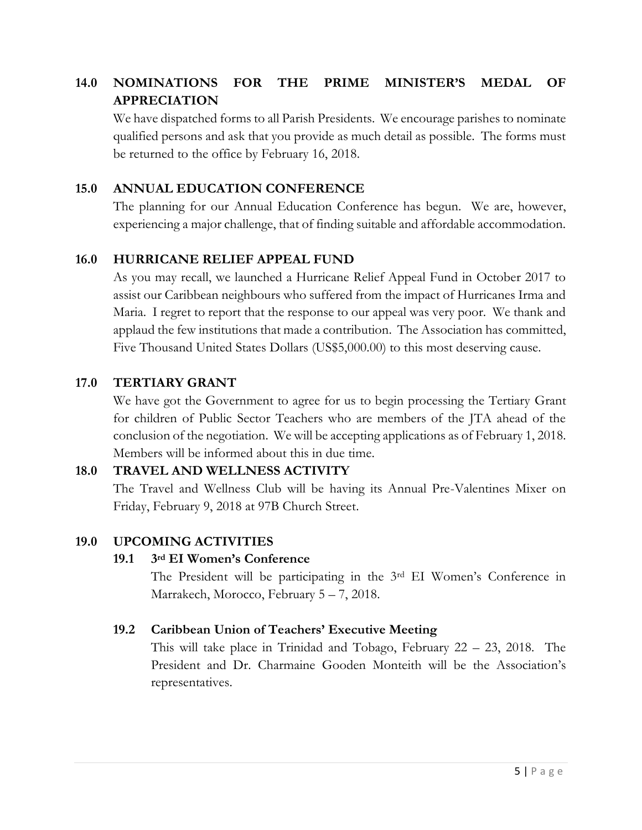# **14.0 NOMINATIONS FOR THE PRIME MINISTER'S MEDAL OF APPRECIATION**

We have dispatched forms to all Parish Presidents. We encourage parishes to nominate qualified persons and ask that you provide as much detail as possible. The forms must be returned to the office by February 16, 2018.

### **15.0 ANNUAL EDUCATION CONFERENCE**

The planning for our Annual Education Conference has begun. We are, however, experiencing a major challenge, that of finding suitable and affordable accommodation.

### **16.0 HURRICANE RELIEF APPEAL FUND**

As you may recall, we launched a Hurricane Relief Appeal Fund in October 2017 to assist our Caribbean neighbours who suffered from the impact of Hurricanes Irma and Maria. I regret to report that the response to our appeal was very poor. We thank and applaud the few institutions that made a contribution. The Association has committed, Five Thousand United States Dollars (US\$5,000.00) to this most deserving cause.

### **17.0 TERTIARY GRANT**

We have got the Government to agree for us to begin processing the Tertiary Grant for children of Public Sector Teachers who are members of the JTA ahead of the conclusion of the negotiation. We will be accepting applications as of February 1, 2018. Members will be informed about this in due time.

### **18.0 TRAVEL AND WELLNESS ACTIVITY**

The Travel and Wellness Club will be having its Annual Pre-Valentines Mixer on Friday, February 9, 2018 at 97B Church Street.

### **19.0 UPCOMING ACTIVITIES**

### **19.1 3rd EI Women's Conference**

The President will be participating in the 3rd EI Women's Conference in Marrakech, Morocco, February 5 – 7, 2018.

### **19.2 Caribbean Union of Teachers' Executive Meeting**

This will take place in Trinidad and Tobago, February 22 – 23, 2018. The President and Dr. Charmaine Gooden Monteith will be the Association's representatives.